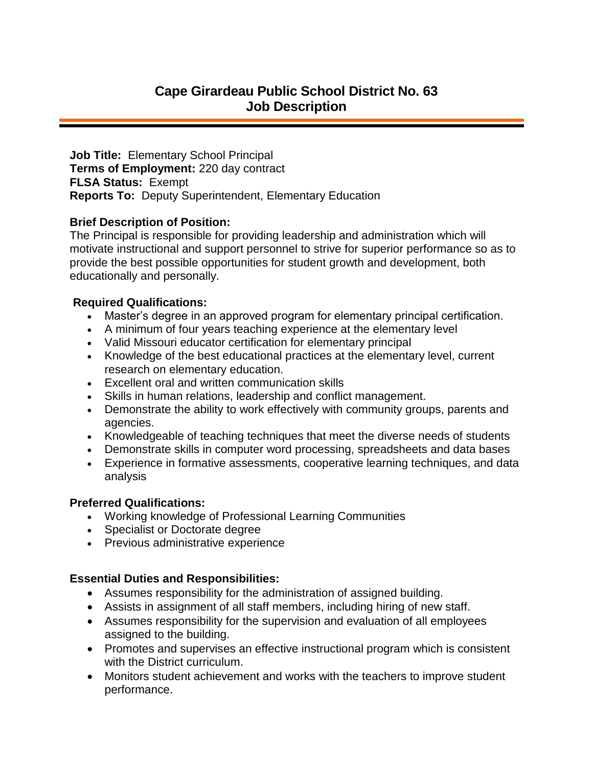# **Cape Girardeau Public School District No. 63 Job Description**

**Job Title:** Elementary School Principal **Terms of Employment:** 220 day contract **FLSA Status:** Exempt **Reports To:** Deputy Superintendent, Elementary Education

### **Brief Description of Position:**

The Principal is responsible for providing leadership and administration which will motivate instructional and support personnel to strive for superior performance so as to provide the best possible opportunities for student growth and development, both educationally and personally.

#### **Required Qualifications:**

- Master's degree in an approved program for elementary principal certification.
- A minimum of four years teaching experience at the elementary level
- Valid Missouri educator certification for elementary principal
- Knowledge of the best educational practices at the elementary level, current research on elementary education.
- Excellent oral and written communication skills
- Skills in human relations, leadership and conflict management.
- Demonstrate the ability to work effectively with community groups, parents and agencies.
- Knowledgeable of teaching techniques that meet the diverse needs of students
- Demonstrate skills in computer word processing, spreadsheets and data bases
- Experience in formative assessments, cooperative learning techniques, and data analysis

#### **Preferred Qualifications:**

- Working knowledge of Professional Learning Communities
- Specialist or Doctorate degree
- Previous administrative experience

## **Essential Duties and Responsibilities:**

- Assumes responsibility for the administration of assigned building.
- Assists in assignment of all staff members, including hiring of new staff.
- Assumes responsibility for the supervision and evaluation of all employees assigned to the building.
- Promotes and supervises an effective instructional program which is consistent with the District curriculum.
- Monitors student achievement and works with the teachers to improve student performance.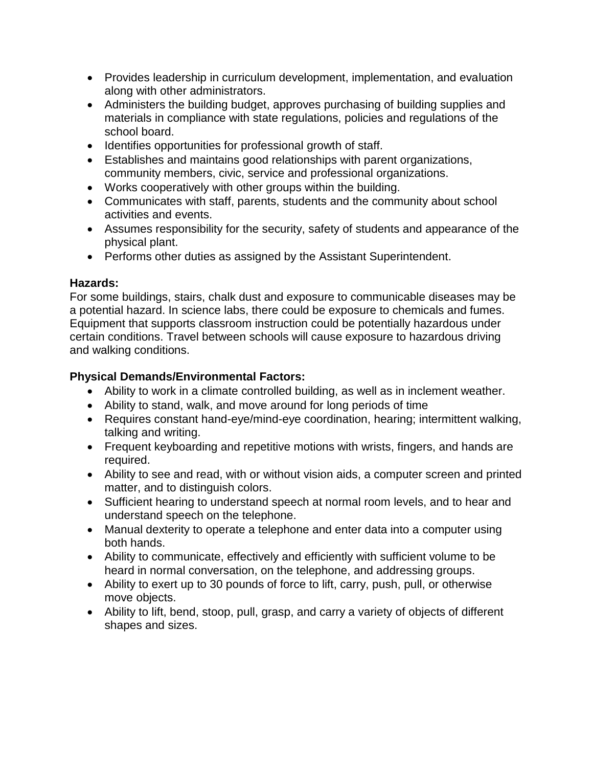- Provides leadership in curriculum development, implementation, and evaluation along with other administrators.
- Administers the building budget, approves purchasing of building supplies and materials in compliance with state regulations, policies and regulations of the school board.
- Identifies opportunities for professional growth of staff.
- Establishes and maintains good relationships with parent organizations, community members, civic, service and professional organizations.
- Works cooperatively with other groups within the building.
- Communicates with staff, parents, students and the community about school activities and events.
- Assumes responsibility for the security, safety of students and appearance of the physical plant.
- Performs other duties as assigned by the Assistant Superintendent.

## **Hazards:**

For some buildings, stairs, chalk dust and exposure to communicable diseases may be a potential hazard. In science labs, there could be exposure to chemicals and fumes. Equipment that supports classroom instruction could be potentially hazardous under certain conditions. Travel between schools will cause exposure to hazardous driving and walking conditions.

## **Physical Demands/Environmental Factors:**

- Ability to work in a climate controlled building, as well as in inclement weather.
- Ability to stand, walk, and move around for long periods of time
- Requires constant hand-eye/mind-eye coordination, hearing; intermittent walking, talking and writing.
- Frequent keyboarding and repetitive motions with wrists, fingers, and hands are required.
- Ability to see and read, with or without vision aids, a computer screen and printed matter, and to distinguish colors.
- Sufficient hearing to understand speech at normal room levels, and to hear and understand speech on the telephone.
- Manual dexterity to operate a telephone and enter data into a computer using both hands.
- Ability to communicate, effectively and efficiently with sufficient volume to be heard in normal conversation, on the telephone, and addressing groups.
- Ability to exert up to 30 pounds of force to lift, carry, push, pull, or otherwise move objects.
- Ability to lift, bend, stoop, pull, grasp, and carry a variety of objects of different shapes and sizes.